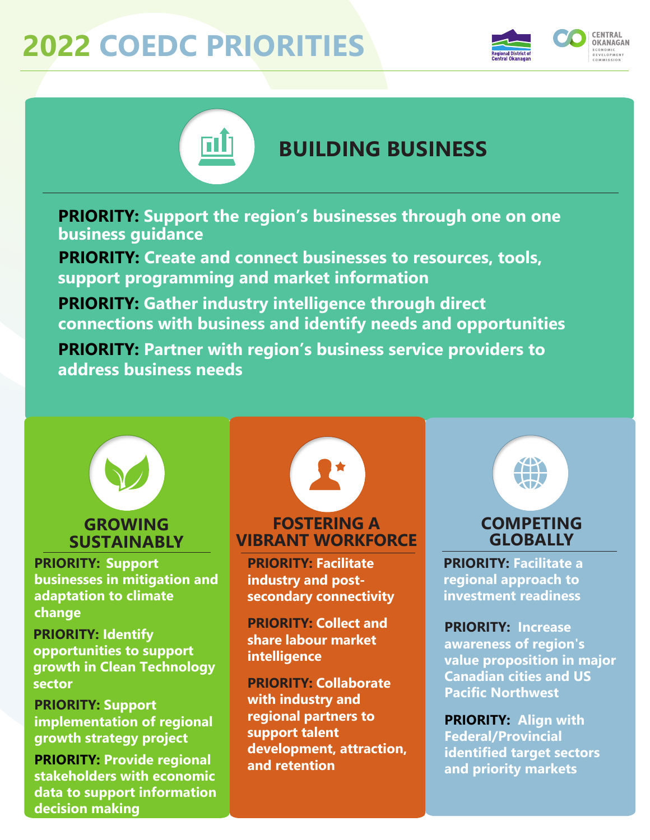## **2022 COEDC PRIORITIES**





## **BUILDING BUSINESS**

**PRIORITY: Support the region's businesses through one on one business guidance** 

**PRIORITY: Create and connect businesses to resources, tools, support programming and market information** 

**PRIORITY: Gather industry intelligence through direct connections with business and identify needs and opportunities**

**PRIORITY: Partner with region's business service providers to address business needs**



## **GROWING SUSTAINABLY**

**PRIORITY: Support businesses in mitigation and adaptation to climate change**

**PRIORITY: Identify opportunities to support growth in Clean Technology sector**

**PRIORITY: Support implementation of regional growth strategy project** 

**PRIORITY: Provide regional stakeholders with economic data to support information decision making**

## **FOSTERING A VIBRANT WORKFORCE**

**PRIORITY: Facilitate industry and postsecondary connectivity**

**PRIORITY: Collect and share labour market intelligence**

**PRIORITY: Collaborate with industry and regional partners to support talent development, attraction, and retention**



### **COMPETING GLOBALLY**

**PRIORITY: Facilitate a regional approach to investment readiness**

**PRIORITY: Increase awareness of region's value proposition in major Canadian cities and US Pacific Northwest**

**PRIORITY: Align with Federal/Provincial identified target sectors and priority markets**